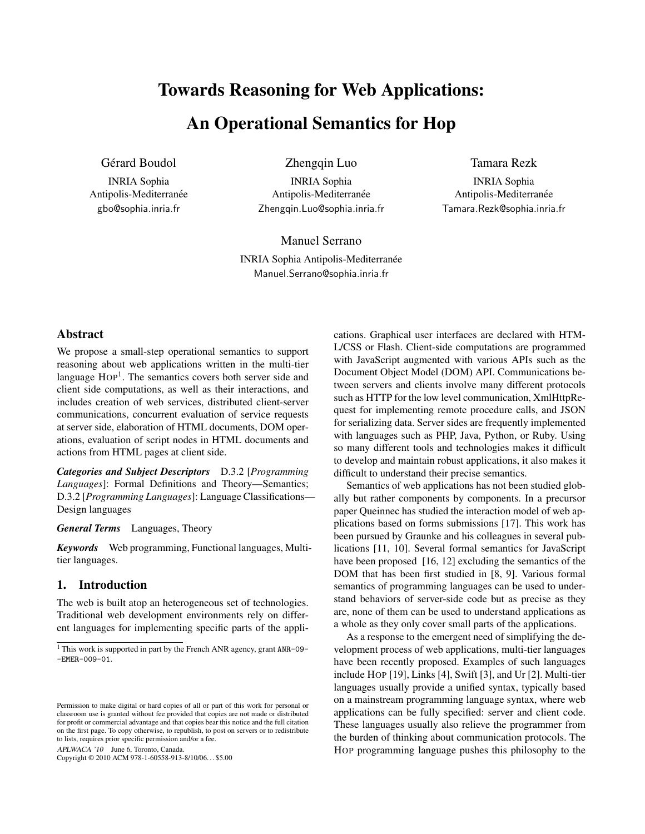# Towards Reasoning for Web Applications:

## An Operational Semantics for Hop

Gérard Boudol

INRIA Sophia Antipolis-Mediterranée gbo@sophia.inria.fr

Zhengqin Luo

INRIA Sophia Antipolis-Mediterranée Zhengqin.Luo@sophia.inria.fr Tamara Rezk

INRIA Sophia Antipolis-Mediterranée Tamara.Rezk@sophia.inria.fr

Manuel Serrano INRIA Sophia Antipolis-Mediterranée Manuel.Serrano@sophia.inria.fr

## Abstract

We propose a small-step operational semantics to support reasoning about web applications written in the multi-tier language HOP<sup>1</sup>. The semantics covers both server side and client side computations, as well as their interactions, and includes creation of web services, distributed client-server communications, concurrent evaluation of service requests at server side, elaboration of HTML documents, DOM operations, evaluation of script nodes in HTML documents and actions from HTML pages at client side.

*Categories and Subject Descriptors* D.3.2 [*Programming Languages*]: Formal Definitions and Theory—Semantics; D.3.2 [*Programming Languages*]: Language Classifications— Design languages

*General Terms* Languages, Theory

*Keywords* Web programming, Functional languages, Multitier languages.

## 1. Introduction

The web is built atop an heterogeneous set of technologies. Traditional web development environments rely on different languages for implementing specific parts of the appli-

APLWACA '10 June 6, Toronto, Canada.

Copyright © 2010 ACM 978-1-60558-913-8/10/06. . . \$5.00

cations. Graphical user interfaces are declared with HTM-L/CSS or Flash. Client-side computations are programmed with JavaScript augmented with various APIs such as the Document Object Model (DOM) API. Communications between servers and clients involve many different protocols such as HTTP for the low level communication, XmlHttpRequest for implementing remote procedure calls, and JSON for serializing data. Server sides are frequently implemented with languages such as PHP, Java, Python, or Ruby. Using so many different tools and technologies makes it difficult to develop and maintain robust applications, it also makes it difficult to understand their precise semantics.

Semantics of web applications has not been studied globally but rather components by components. In a precursor paper Queinnec has studied the interaction model of web applications based on forms submissions [17]. This work has been pursued by Graunke and his colleagues in several publications [11, 10]. Several formal semantics for JavaScript have been proposed [16, 12] excluding the semantics of the DOM that has been first studied in [8, 9]. Various formal semantics of programming languages can be used to understand behaviors of server-side code but as precise as they are, none of them can be used to understand applications as a whole as they only cover small parts of the applications.

As a response to the emergent need of simplifying the development process of web applications, multi-tier languages have been recently proposed. Examples of such languages include HOP [19], Links [4], Swift [3], and Ur [2]. Multi-tier languages usually provide a unified syntax, typically based on a mainstream programming language syntax, where web applications can be fully specified: server and client code. These languages usually also relieve the programmer from the burden of thinking about communication protocols. The HOP programming language pushes this philosophy to the

<sup>&</sup>lt;sup>1</sup> This work is supported in part by the French ANR agency, grant ANR-09--EMER-009-01.

Permission to make digital or hard copies of all or part of this work for personal or classroom use is granted without fee provided that copies are not made or distributed for profit or commercial advantage and that copies bear this notice and the full citation on the first page. To copy otherwise, to republish, to post on servers or to redistribute to lists, requires prior specific permission and/or a fee.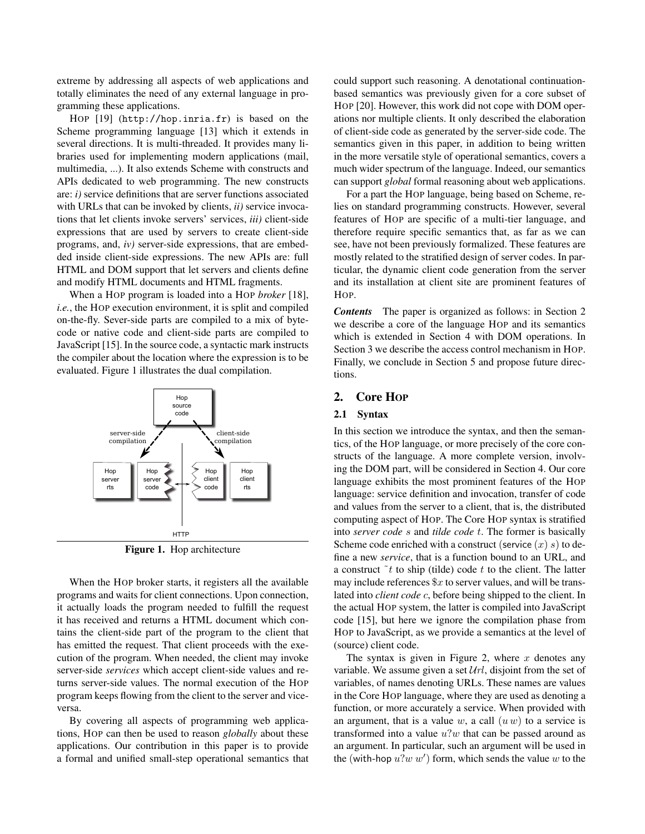extreme by addressing all aspects of web applications and totally eliminates the need of any external language in programming these applications.

HOP [19] (http://hop.inria.fr) is based on the Scheme programming language [13] which it extends in several directions. It is multi-threaded. It provides many libraries used for implementing modern applications (mail, multimedia, ...). It also extends Scheme with constructs and APIs dedicated to web programming. The new constructs are: *i)* service definitions that are server functions associated with URLs that can be invoked by clients, *ii)* service invocations that let clients invoke servers' services, *iii)* client-side expressions that are used by servers to create client-side programs, and, *iv)* server-side expressions, that are embedded inside client-side expressions. The new APIs are: full HTML and DOM support that let servers and clients define and modify HTML documents and HTML fragments.

When a HOP program is loaded into a HOP *broker* [18], *i.e.*, the HOP execution environment, it is split and compiled on-the-fly. Sever-side parts are compiled to a mix of bytecode or native code and client-side parts are compiled to JavaScript [15]. In the source code, a syntactic mark instructs the compiler about the location where the expression is to be evaluated. Figure 1 illustrates the dual compilation.



Figure 1. Hop architecture

When the HOP broker starts, it registers all the available programs and waits for client connections. Upon connection, it actually loads the program needed to fulfill the request it has received and returns a HTML document which contains the client-side part of the program to the client that has emitted the request. That client proceeds with the execution of the program. When needed, the client may invoke server-side *services* which accept client-side values and returns server-side values. The normal execution of the HOP program keeps flowing from the client to the server and viceversa.

By covering all aspects of programming web applications, HOP can then be used to reason *globally* about these applications. Our contribution in this paper is to provide a formal and unified small-step operational semantics that

could support such reasoning. A denotational continuationbased semantics was previously given for a core subset of HOP [20]. However, this work did not cope with DOM operations nor multiple clients. It only described the elaboration of client-side code as generated by the server-side code. The semantics given in this paper, in addition to being written in the more versatile style of operational semantics, covers a much wider spectrum of the language. Indeed, our semantics can support *global* formal reasoning about web applications.

For a part the HOP language, being based on Scheme, relies on standard programming constructs. However, several features of HOP are specific of a multi-tier language, and therefore require specific semantics that, as far as we can see, have not been previously formalized. These features are mostly related to the stratified design of server codes. In particular, the dynamic client code generation from the server and its installation at client site are prominent features of HOP.

*Contents* The paper is organized as follows: in Section 2 we describe a core of the language HOP and its semantics which is extended in Section 4 with DOM operations. In Section 3 we describe the access control mechanism in HOP. Finally, we conclude in Section 5 and propose future directions.

### 2. Core HOP

### 2.1 Syntax

In this section we introduce the syntax, and then the semantics, of the HOP language, or more precisely of the core constructs of the language. A more complete version, involving the DOM part, will be considered in Section 4. Our core language exhibits the most prominent features of the HOP language: service definition and invocation, transfer of code and values from the server to a client, that is, the distributed computing aspect of HOP. The Core HOP syntax is stratified into *server code* s and *tilde code* t. The former is basically Scheme code enriched with a construct (service  $(x)$  s) to define a new *service*, that is a function bound to an URL, and a construct  $\tilde{t}$  to ship (tilde) code t to the client. The latter may include references  $x$  to server values, and will be translated into *client code* c, before being shipped to the client. In the actual HOP system, the latter is compiled into JavaScript code [15], but here we ignore the compilation phase from HOP to JavaScript, as we provide a semantics at the level of (source) client code.

The syntax is given in Figure 2, where  $x$  denotes any variable. We assume given a set  $Url$ , disjoint from the set of variables, of names denoting URLs. These names are values in the Core HOP language, where they are used as denoting a function, or more accurately a service. When provided with an argument, that is a value w, a call  $(u w)$  to a service is transformed into a value  $u$ ?w that can be passed around as an argument. In particular, such an argument will be used in the (with-hop  $u$ ? $w$   $w'$ ) form, which sends the value  $w$  to the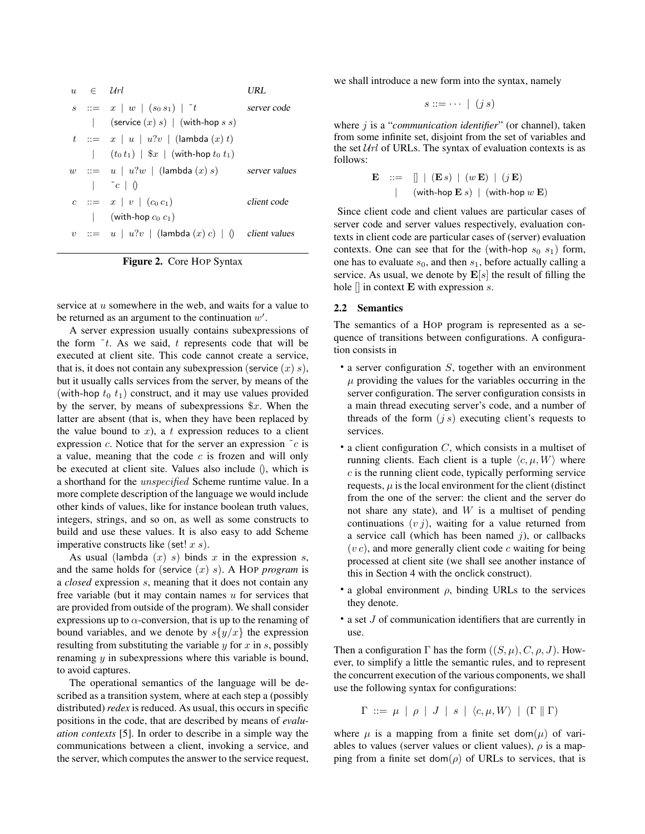```
u \in \mathcal{U}rl URL
s : x \mid w \mid (s_0 s_1) \mid t server code
         (\text{service } (x) s) | (\text{with-hop } s s)t ::= x | u | u?v (lambda (x) t)
     | (t_0 t_1) | $x | (with-hop t_0 t_1)
w := u \mid u?w | (lambda (x) s) server values
     \begin{array}{ccc} \n & c & \n \end{array}c := x \mid v \mid (c_0 \nc_1) client code
     | (with-hop c_0 c_1)
v := u \mid u?v | (lambda (x) c) | () client values
```


service at u somewhere in the web, and waits for a value to be returned as an argument to the continuation  $w'$ .

A server expression usually contains subexpressions of the form  $\tilde{t}$ . As we said, t represents code that will be executed at client site. This code cannot create a service, that is, it does not contain any subexpression (service  $(x)$  s), but it usually calls services from the server, by means of the (with-hop  $t_0$   $t_1$ ) construct, and it may use values provided by the server, by means of subexpressions  $x$ . When the latter are absent (that is, when they have been replaced by the value bound to  $x$ ), a t expression reduces to a client expression c. Notice that for the server an expression  $\tilde{c}$  is a value, meaning that the code  $c$  is frozen and will only be executed at client site. Values also include (), which is a shorthand for the unspecified Scheme runtime value. In a more complete description of the language we would include other kinds of values, like for instance boolean truth values, integers, strings, and so on, as well as some constructs to build and use these values. It is also easy to add Scheme imperative constructs like (set!  $x s$ ).

As usual (lambda  $(x)$  s) binds x in the expression s, and the same holds for (service (x) s). A HOP *program* is a *closed* expression s, meaning that it does not contain any free variable (but it may contain names  $u$  for services that are provided from outside of the program). We shall consider expressions up to  $\alpha$ -conversion, that is up to the renaming of bound variables, and we denote by  $s\{y/x\}$  the expression resulting from substituting the variable  $y$  for  $x$  in  $s$ , possibly renaming  $y$  in subexpressions where this variable is bound, to avoid captures.

The operational semantics of the language will be described as a transition system, where at each step a (possibly distributed) *redex* is reduced. As usual, this occurs in specific positions in the code, that are described by means of *evaluation contexts* [5]. In order to describe in a simple way the communications between a client, invoking a service, and the server, which computes the answer to the service request,

we shall introduce a new form into the syntax, namely

$$
s ::= \cdots \mid (j \, s)
$$

where *j* is a "*communication identifier*" (or channel), taken from some infinite set, disjoint from the set of variables and the set  $Url$  of URLs. The syntax of evaluation contexts is as follows:

$$
\begin{array}{ccl}\n\mathbf{E} & ::= & [] | (\mathbf{E} s) | (w \mathbf{E}) | (j \mathbf{E}) \\
\mid & (with \text{-} \text{hop } \mathbf{E} s) | (with \text{-} \text{hop } w \mathbf{E})\n\end{array}
$$

Since client code and client values are particular cases of server code and server values respectively, evaluation contexts in client code are particular cases of (server) evaluation contexts. One can see that for the (with-hop  $s_0$   $s_1$ ) form, one has to evaluate  $s_0$ , and then  $s_1$ , before actually calling a service. As usual, we denote by  $E[s]$  the result of filling the hole  $\parallel$  in context **E** with expression *s*.

### 2.2 Semantics

The semantics of a HOP program is represented as a sequence of transitions between configurations. A configuration consists in

- $\bullet$  a server configuration  $S$ , together with an environment  $\mu$  providing the values for the variables occurring in the server configuration. The server configuration consists in a main thread executing server's code, and a number of threads of the form  $(j s)$  executing client's requests to services.
- a client configuration  $C$ , which consists in a multiset of running clients. Each client is a tuple  $\langle c, \mu, W \rangle$  where  $c$  is the running client code, typically performing service requests,  $\mu$  is the local environment for the client (distinct from the one of the server: the client and the server do not share any state), and  $W$  is a multiset of pending continuations  $(v_j)$ , waiting for a value returned from a service call (which has been named  $j$ ), or callbacks  $(v c)$ , and more generally client code c waiting for being processed at client site (we shall see another instance of this in Section 4 with the onclick construct).
- a global environment  $\rho$ , binding URLs to the services they denote.
- a set J of communication identifiers that are currently in use.

Then a configuration  $\Gamma$  has the form  $((S, \mu), C, \rho, J)$ . However, to simplify a little the semantic rules, and to represent the concurrent execution of the various components, we shall use the following syntax for configurations:

 $\Gamma$  ::=  $\mu$  |  $\rho$  | J | s |  $\langle c, \mu, W \rangle$  | ( $\Gamma$  ||  $\Gamma$ )

where  $\mu$  is a mapping from a finite set dom( $\mu$ ) of variables to values (server values or client values),  $\rho$  is a mapping from a finite set dom( $\rho$ ) of URLs to services, that is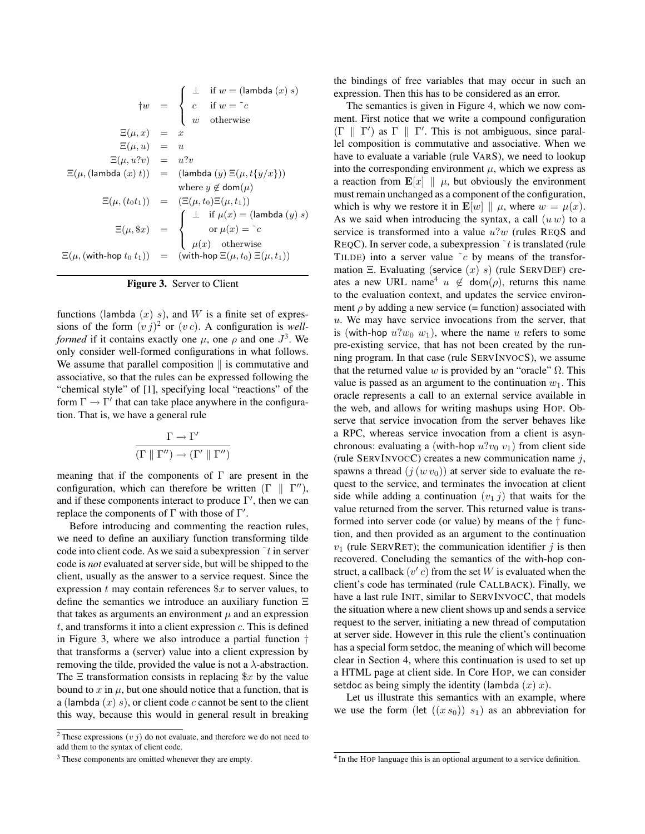$$
\begin{array}{rcl}\n\uparrow w & = & \begin{cases}\n\perp & \text{if } w = (\text{lambda}(x) s) \\
c & \text{if } w = \text{``}c\n\end{cases} \\
\Xi(\mu, x) & = & x\n\end{array}
$$
\n
$$
\Xi(\mu, u) = u
$$
\n
$$
\Xi(\mu, u?v) = u?v
$$
\n
$$
\Xi(\mu, (\text{lambda}(x) t)) = (\text{lambda}(y) \Xi(\mu, t\{y/x\}))
$$
\n
$$
\text{where } y \notin \text{dom}(\mu)
$$
\n
$$
\Xi(\mu, (t_0 t_1)) = (\Xi(\mu, t_0) \Xi(\mu, t_1))
$$
\n
$$
\Xi(\mu, \$x) = \begin{cases}\n\perp & \text{if } \mu(x) = (\text{lambda}(y) s) \\
\text{or } \mu(x) = \text{``}c\n\end{cases}
$$
\n
$$
\Xi(\mu, (\text{with-hop } t_0 t_1)) = (\text{with-hop } \Xi(\mu, t_0) \Xi(\mu, t_1))
$$

Figure 3. Server to Client

functions (lambda  $(x)$  s), and W is a finite set of expressions of the form  $(vj)^2$  or  $(vc)$ . A configuration is *wellformed* if it contains exactly one  $\mu$ , one  $\rho$  and one  $J^3$ . We only consider well-formed configurations in what follows. We assume that parallel composition  $\parallel$  is commutative and associative, so that the rules can be expressed following the "chemical style" of [1], specifying local "reactions" of the form  $\Gamma \to \Gamma'$  that can take place anywhere in the configuration. That is, we have a general rule

$$
\frac{\Gamma \rightarrow \Gamma'}{(\Gamma \parallel \Gamma'') \rightarrow (\Gamma' \parallel \Gamma'')}
$$

meaning that if the components of  $\Gamma$  are present in the configuration, which can therefore be written  $(\Gamma \parallel \Gamma'')$ , and if these components interact to produce  $\Gamma'$ , then we can replace the components of  $\Gamma$  with those of  $\Gamma'$ .

Before introducing and commenting the reaction rules, we need to define an auxiliary function transforming tilde code into client code. As we said a subexpression  $\tilde{t}$  in server code is *not* evaluated at server side, but will be shipped to the client, usually as the answer to a service request. Since the expression  $t$  may contain references  $x$  to server values, to define the semantics we introduce an auxiliary function Ξ that takes as arguments an environment  $\mu$  and an expression  $t$ , and transforms it into a client expression  $c$ . This is defined in Figure 3, where we also introduce a partial function † that transforms a (server) value into a client expression by removing the tilde, provided the value is not a  $\lambda$ -abstraction. The  $\Xi$  transformation consists in replacing  $x$  by the value bound to  $x$  in  $\mu$ , but one should notice that a function, that is a (lambda  $(x)$  s), or client code c cannot be sent to the client this way, because this would in general result in breaking the bindings of free variables that may occur in such an expression. Then this has to be considered as an error.

The semantics is given in Figure 4, which we now comment. First notice that we write a compound configuration  $(\Gamma \parallel \Gamma')$  as  $\Gamma \parallel \Gamma'$ . This is not ambiguous, since parallel composition is commutative and associative. When we have to evaluate a variable (rule VARS), we need to lookup into the corresponding environment  $\mu$ , which we express as a reaction from  $\mathbf{E}[x] \parallel \mu$ , but obviously the environment must remain unchanged as a component of the configuration, which is why we restore it in  $\mathbf{E}[w] \parallel \mu$ , where  $w = \mu(x)$ . As we said when introducing the syntax, a call  $(u w)$  to a service is transformed into a value  $u$ ?w (rules REQS and REQC). In server code, a subexpression  $\tilde{t}$  is translated (rule TILDE) into a server value  $\tilde{c}$  by means of the transformation Ξ. Evaluating (service  $(x)$  s) (rule SERVDEF) creates a new URL name<sup>4</sup>  $u \notin \text{dom}(\rho)$ , returns this name to the evaluation context, and updates the service environment  $\rho$  by adding a new service (= function) associated with  $u$ . We may have service invocations from the server, that is (with-hop  $u?w_0$   $w_1$ ), where the name u refers to some pre-existing service, that has not been created by the running program. In that case (rule SERVINVOCS), we assume that the returned value w is provided by an "oracle"  $\Omega$ . This value is passed as an argument to the continuation  $w_1$ . This oracle represents a call to an external service available in the web, and allows for writing mashups using HOP. Observe that service invocation from the server behaves like a RPC, whereas service invocation from a client is asynchronous: evaluating a (with-hop  $u$ ? $v_0$   $v_1$ ) from client side (rule SERVINVOCC) creates a new communication name  $j$ , spawns a thread  $(j (w v_0))$  at server side to evaluate the request to the service, and terminates the invocation at client side while adding a continuation  $(v_1 j)$  that waits for the value returned from the server. This returned value is transformed into server code (or value) by means of the † function, and then provided as an argument to the continuation  $v_1$  (rule SERVRET); the communication identifier j is then recovered. Concluding the semantics of the with-hop construct, a callback  $(v'c)$  from the set W is evaluated when the client's code has terminated (rule CALLBACK). Finally, we have a last rule INIT, similar to SERVINVOCC, that models the situation where a new client shows up and sends a service request to the server, initiating a new thread of computation at server side. However in this rule the client's continuation has a special form setdoc, the meaning of which will become clear in Section 4, where this continuation is used to set up a HTML page at client side. In Core HOP, we can consider setdoc as being simply the identity (lambda  $(x)$  x).

Let us illustrate this semantics with an example, where we use the form (let  $((x s_0)) s_1$ ) as an abbreviation for

<sup>&</sup>lt;sup>2</sup> These expressions  $(v j)$  do not evaluate, and therefore we do not need to add them to the syntax of client code.

<sup>3</sup> These components are omitted whenever they are empty.

<sup>&</sup>lt;sup>4</sup> In the HOP language this is an optional argument to a service definition.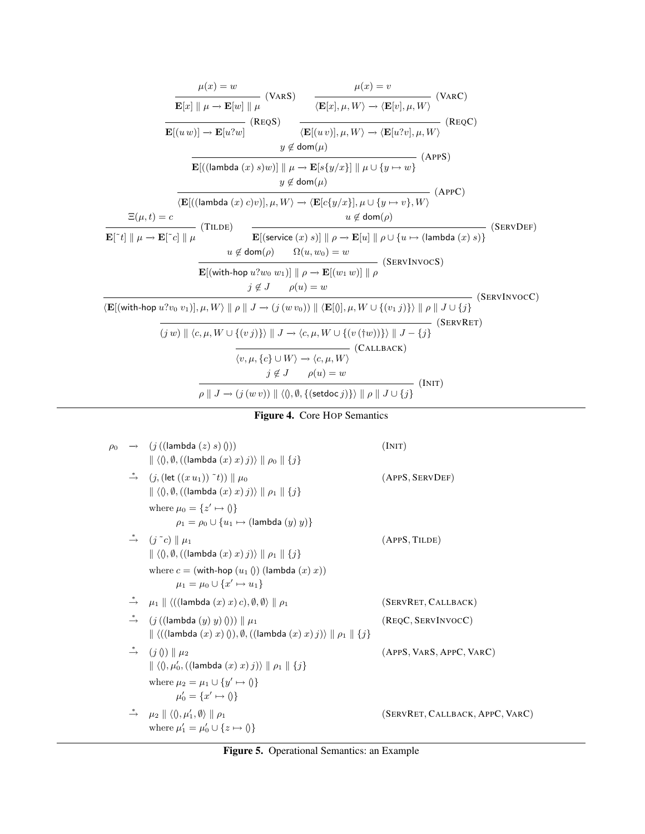$$
\frac{\mu(x) = w}{\mathbf{E}[x] \parallel \mu \rightarrow \mathbf{E}[w] \parallel \mu} \quad \text{(VARS)} \quad \frac{\mu(x) = v}{\langle \mathbf{E}[x], \mu, W \rangle \rightarrow \langle \mathbf{E}[v], \mu, W \rangle} \quad \text{(VARC)}
$$
\n
$$
\frac{\mathbf{E}[(uw)] \rightarrow \mathbf{E}[u^2w]}{\mathbf{E}[(uw)] \rightarrow \mathbf{E}[u^2w]} \quad \text{(RegS)} \quad \frac{\langle \mathbf{E}[x], \mu, W \rangle \rightarrow \langle \mathbf{E}[u^2v], \mu, W \rangle} \quad \text{(RegC)}
$$
\n
$$
y \notin \text{dom}(\mu)
$$
\n
$$
\frac{\mathbf{E}[((\text{lambda } (x) s)w)] \parallel \mu \rightarrow \mathbf{E}[s\{y/x\}] \parallel \mu \cup \{y \mapsto w\}} \quad \text{(APPS)}
$$
\n
$$
\frac{\mathbf{E}[((\text{lambda } (x) s)w)], \mu, W \rangle \rightarrow \langle \mathbf{E}[c\{y/x\}], \mu \cup \{y \mapsto v\}, W \rangle} \quad \text{(APPC)}
$$
\n
$$
\frac{\mathbf{E}[\mu, t] = c \qquad u \notin \text{dom}(\rho)}{\mathbf{E}[\tau] \parallel \mu \rightarrow \mathbf{E}[\tau c] \parallel \mu} \quad \text{(TLDE)}
$$
\n
$$
\frac{\mathbf{E}[\text{(service } (x) s)] \parallel \rho \rightarrow \mathbf{E}[u] \parallel \rho \cup \{u \mapsto (\text{lambda } (x) s)\}}{\mathbf{E}[(\text{with-hop } u^2w_0 w_1)] \parallel \rho \rightarrow \mathbf{E}[(w_1 w)] \parallel \rho} \quad \text{(SERVINVOCS)}
$$
\n
$$
\frac{\mathbf{E}[(\text{with-hop } u^2v_0 v_1)], \mu, W \parallel \rho \parallel J \rightarrow (j (w v_0)) \parallel \langle \mathbf{E}[0], \mu, W \cup \{v_1 j\} \rangle \parallel \rho \parallel J \cup \{j\} \quad \text{(SERVIRVOC)}
$$
\n
$$
\frac{\partial \mathbf{E}[v \parallel \mathbf{E}[v \parallel \mathbf{E}[0], \mu, W \cup \{v_1 j\} \rangle \parallel \rho \parallel J \cup \{j\} \quad \text{(SEV/INVOC
$$

## Figure 4. Core HOP Semantics

| $\rho_0$ | $\rightarrow$ $(j$ ((lambda $(z)$ s) ()))<br>$\  \langle 0, \emptyset, ((\text{lambda } (x) x) j) \rangle \  \rho_0 \  \{j\}$                                               | (INT)                           |
|----------|-----------------------------------------------------------------------------------------------------------------------------------------------------------------------------|---------------------------------|
|          | $\stackrel{*}{\rightarrow}$ $(j, (\text{let } ((x u_1)) \tilde{\ } t)) \parallel \mu_0$<br>$\  \langle 0, \emptyset, ((\text{lambda } (x) x) j) \rangle \  \rho_1 \  \{j\}$ | (APPS, SERVDEF)                 |
|          | where $\mu_0 = \{z' \mapsto \emptyset\}$<br>$\rho_1 = \rho_0 \cup \{u_1 \mapsto (\text{lambda } (y) y)\}\$                                                                  |                                 |
|          | $\stackrel{\ast}{\rightarrow}$ $(j^{\sim}c) \parallel \mu_1$<br>$\  \langle 0, \emptyset, ((\text{lambda } (x) x) j) \rangle \  \rho_1 \  \{j\}$                            | (APPS, TILDE)                   |
|          | where $c = ($ with-hop $(u_1$ () $)$ (lambda $(x)$ x))<br>$\mu_1 = \mu_0 \cup \{x' \mapsto u_1\}$                                                                           |                                 |
|          | $\stackrel{*}{\rightarrow}$ $\mu_1 \parallel \langle ((\textsf{lambda}(x) x) c), \emptyset, \emptyset \rangle \parallel \rho_1$                                             | (SERVRET, CALLBACK)             |
|          | $\stackrel{*}{\rightarrow}$ (j((lambda $(y)$ y) ())) $\parallel \mu_1$<br>$\  \langle ($ (lambda $(x) x) 0$ ), Ø, $($ (lambda $(x) x) j$ ) $\rangle \  \rho_1 \  \{j\}$     | (REQC, SERVINVOCC)              |
|          | $\stackrel{*}{\rightarrow}$ $(j \ 0) \parallel \mu_2$<br>$\  \langle 0, \mu'_0, ((\text{lambda } (x) x) j) \rangle \  \rho_1 \  \{j\}$                                      | (APPS, VARS, APPC, VARC)        |
|          | where $\mu_2 = \mu_1 \cup \{y' \mapsto \emptyset\}$<br>$\mu'_0 = \{x' \mapsto 0\}$                                                                                          |                                 |
|          | $\stackrel{*}{\rightarrow}$ $\mu_2 \parallel \langle 0, \mu'_1, \emptyset \rangle \parallel \rho_1$<br>where $\mu'_1 = \mu'_0 \cup \{z \mapsto \emptyset\}$                 | (SERVRET, CALLBACK, APPC, VARC) |

## Figure 5. Operational Semantics: an Example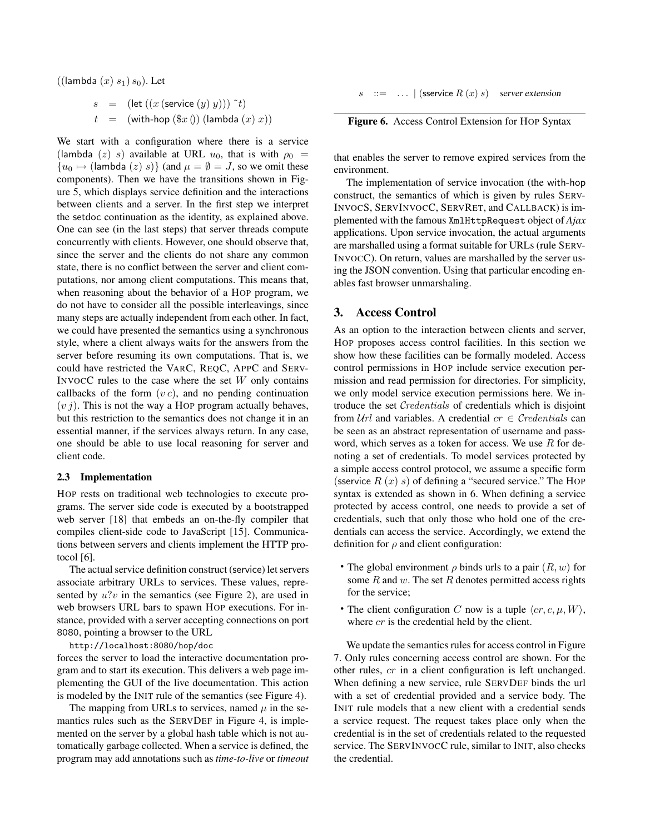$((\textsf{lambda}(x) s_1) s_0)$ . Let

$$
s = (\text{let } ((x \text{ (service } (y) y))) \tilde{\ } t)
$$
  

$$
t = (\text{with-hop } (\$x \text{ ()}) \text{ (lambda } (x) x))
$$

We start with a configuration where there is a service (lambda (z) s) available at URL  $u_0$ , that is with  $\rho_0$  =  ${u_0 \mapsto ($ lambda  $(z) s}$  (and  $\mu = \emptyset = J$ , so we omit these components). Then we have the transitions shown in Figure 5, which displays service definition and the interactions between clients and a server. In the first step we interpret the setdoc continuation as the identity, as explained above. One can see (in the last steps) that server threads compute concurrently with clients. However, one should observe that, since the server and the clients do not share any common state, there is no conflict between the server and client computations, nor among client computations. This means that, when reasoning about the behavior of a HOP program, we do not have to consider all the possible interleavings, since many steps are actually independent from each other. In fact, we could have presented the semantics using a synchronous style, where a client always waits for the answers from the server before resuming its own computations. That is, we could have restricted the VARC, REQC, APPC and SERV-INVOCC rules to the case where the set  $W$  only contains callbacks of the form  $(v c)$ , and no pending continuation  $(v j)$ . This is not the way a HOP program actually behaves, but this restriction to the semantics does not change it in an essential manner, if the services always return. In any case, one should be able to use local reasoning for server and client code.

#### 2.3 Implementation

HOP rests on traditional web technologies to execute programs. The server side code is executed by a bootstrapped web server [18] that embeds an on-the-fly compiler that compiles client-side code to JavaScript [15]. Communications between servers and clients implement the HTTP protocol  $[6]$ .

The actual service definition construct (service) let servers associate arbitrary URLs to services. These values, represented by  $u$ ?v in the semantics (see Figure 2), are used in web browsers URL bars to spawn HOP executions. For instance, provided with a server accepting connections on port 8080, pointing a browser to the URL

#### http://localhost:8080/hop/doc

forces the server to load the interactive documentation program and to start its execution. This delivers a web page implementing the GUI of the live documentation. This action is modeled by the INIT rule of the semantics (see Figure 4).

The mapping from URLs to services, named  $\mu$  in the semantics rules such as the SERVDEF in Figure 4, is implemented on the server by a global hash table which is not automatically garbage collected. When a service is defined, the program may add annotations such as *time-to-live* or *timeout*  $s$  ::= ...  $|$  (sservice  $R(x)$  s) server extension



that enables the server to remove expired services from the environment.

The implementation of service invocation (the with-hop construct, the semantics of which is given by rules SERV-INVOCS, SERVINVOCC, SERVRET, and CALLBACK) is implemented with the famous XmlHttpRequest object of *Ajax* applications. Upon service invocation, the actual arguments are marshalled using a format suitable for URLs (rule SERV-INVOCC). On return, values are marshalled by the server using the JSON convention. Using that particular encoding enables fast browser unmarshaling.

### 3. Access Control

As an option to the interaction between clients and server, HOP proposes access control facilities. In this section we show how these facilities can be formally modeled. Access control permissions in HOP include service execution permission and read permission for directories. For simplicity, we only model service execution permissions here. We introduce the set Credentials of credentials which is disjoint from  $Url$  and variables. A credential  $cr \in Credentials$  can be seen as an abstract representation of username and password, which serves as a token for access. We use  $R$  for denoting a set of credentials. To model services protected by a simple access control protocol, we assume a specific form (sservice  $R(x)$  s) of defining a "secured service." The HOP syntax is extended as shown in 6. When defining a service protected by access control, one needs to provide a set of credentials, such that only those who hold one of the credentials can access the service. Accordingly, we extend the definition for  $\rho$  and client configuration:

- The global environment  $\rho$  binds urls to a pair  $(R, w)$  for some  $R$  and  $w$ . The set  $R$  denotes permitted access rights for the service;
- The client configuration C now is a tuple  $\langle cr, c, \mu, W \rangle$ , where *cr* is the credential held by the client.

We update the semantics rules for access control in Figure 7. Only rules concerning access control are shown. For the other rules, cr in a client configuration is left unchanged. When defining a new service, rule SERVDEF binds the url with a set of credential provided and a service body. The INIT rule models that a new client with a credential sends a service request. The request takes place only when the credential is in the set of credentials related to the requested service. The SERVINVOCC rule, similar to INIT, also checks the credential.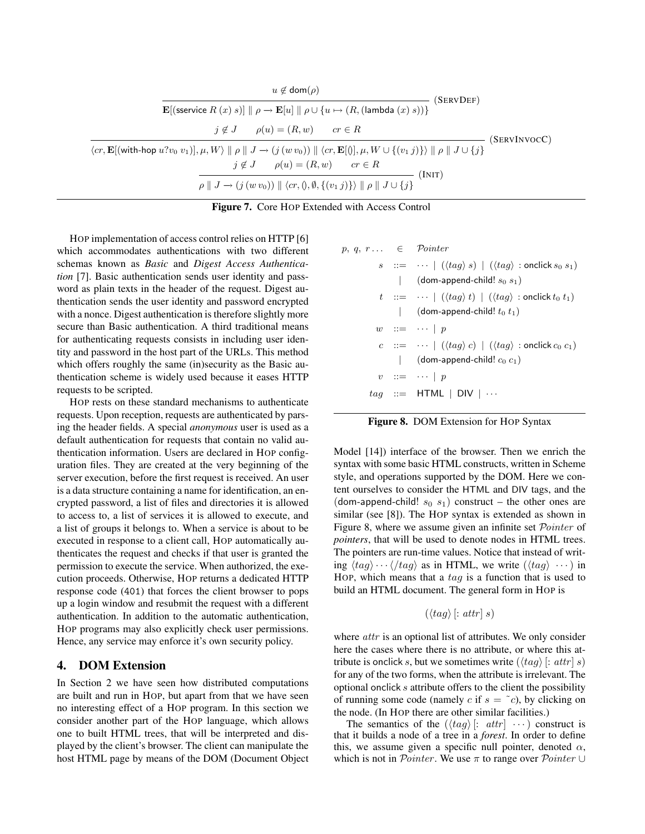| $u \notin \text{dom}(\rho)$<br>(ServDef)                                                                                                                                                                                                                   |  |  |  |
|------------------------------------------------------------------------------------------------------------------------------------------------------------------------------------------------------------------------------------------------------------|--|--|--|
| $\mathbf{E}$ [(sservice $R(x)$ s)] $\ \rho \to \mathbf{E}[u] \  \rho \cup \{u \mapsto (R, (\text{lambda}(x) s))\}\$                                                                                                                                        |  |  |  |
| $j \notin J$ $\rho(u) = (R, w)$ $cr \in R$                                                                                                                                                                                                                 |  |  |  |
| (SERVINVOCC)<br>$\langle cr, \mathbf{E}[(\text{with-hop } u?v_0 \ v_1)], \mu, W \rangle \parallel \rho \parallel J \rightarrow (j(w \ v_0)) \parallel \langle cr, \mathbf{E}[0], \mu, W \cup \{(v_1 \ j) \} \rangle \parallel \rho \parallel J \cup \{j\}$ |  |  |  |
| $j \notin J$ $\rho(u) = (R, w)$ $cr \in R$<br>(INT)                                                                                                                                                                                                        |  |  |  |
| $\rho \parallel J \rightarrow (j (w v_0)) \parallel \langle cr, \{0, \emptyset, \{(v_1 j)\}\rangle \parallel \rho \parallel J \cup \{j\}$                                                                                                                  |  |  |  |

HOP implementation of access control relies on HTTP [6] which accommodates authentications with two different schemas known as *Basic* and *Digest Access Authentication* [7]. Basic authentication sends user identity and password as plain texts in the header of the request. Digest authentication sends the user identity and password encrypted with a nonce. Digest authentication is therefore slightly more secure than Basic authentication. A third traditional means for authenticating requests consists in including user identity and password in the host part of the URLs. This method which offers roughly the same (in)security as the Basic authentication scheme is widely used because it eases HTTP requests to be scripted.

HOP rests on these standard mechanisms to authenticate requests. Upon reception, requests are authenticated by parsing the header fields. A special *anonymous* user is used as a default authentication for requests that contain no valid authentication information. Users are declared in HOP configuration files. They are created at the very beginning of the server execution, before the first request is received. An user is a data structure containing a name for identification, an encrypted password, a list of files and directories it is allowed to access to, a list of services it is allowed to execute, and a list of groups it belongs to. When a service is about to be executed in response to a client call, HOP automatically authenticates the request and checks if that user is granted the permission to execute the service. When authorized, the execution proceeds. Otherwise, HOP returns a dedicated HTTP response code (401) that forces the client browser to pops up a login window and resubmit the request with a different authentication. In addition to the automatic authentication, HOP programs may also explicitly check user permissions. Hence, any service may enforce it's own security policy.

## 4. DOM Extension

In Section 2 we have seen how distributed computations are built and run in HOP, but apart from that we have seen no interesting effect of a HOP program. In this section we consider another part of the HOP language, which allows one to built HTML trees, that will be interpreted and displayed by the client's browser. The client can manipulate the host HTML page by means of the DOM (Document Object

| $p, q, r \ldots \in \text{Pointer}$ |                                                                                                            |
|-------------------------------------|------------------------------------------------------------------------------------------------------------|
|                                     | $s$ : $=$ $\cdots$ $\left(\langle tag \rangle s \right)$ $\left(\langle tag \rangle$ : onclick $s_0 s_1$ ) |
|                                     | (dom-append-child! $s_0$ $s_1$ )                                                                           |
|                                     | $t$ := $\cdots$ $(\langle tag \rangle t)$ $(\langle tag \rangle :$ onclick $t_0$ $t_1)$                    |
|                                     | (dom-append-child! $t_0$ $t_1$ )                                                                           |
|                                     | $w \quad ::= \quad \cdots \mid p$                                                                          |
|                                     | $c ::= \cdots \mid (\langle tag \rangle c) \mid (\langle tag \rangle : \text{onclick } c_0 c_1)$           |
|                                     | (dom-append-child! $c_0$ $c_1$ )                                                                           |
|                                     | $v$ ::= $\cdots$   p                                                                                       |
|                                     | $tag ::=$ HTML   DIV                                                                                       |
|                                     |                                                                                                            |

Figure 8. DOM Extension for HOP Syntax

Model [14]) interface of the browser. Then we enrich the syntax with some basic HTML constructs, written in Scheme style, and operations supported by the DOM. Here we content ourselves to consider the HTML and DIV tags, and the (dom-append-child!  $s_0$   $s_1$ ) construct – the other ones are similar (see [8]). The HOP syntax is extended as shown in Figure 8, where we assume given an infinite set Pointer of *pointers*, that will be used to denote nodes in HTML trees. The pointers are run-time values. Notice that instead of writing  $\langle tag \rangle \cdots \langle flag \rangle$  as in HTML, we write  $(\langle tag \rangle \cdots)$  in HOP, which means that a  $tag$  is a function that is used to build an HTML document. The general form in HOP is

$$
(\langle tag \rangle [: attr] s)
$$

where *attr* is an optional list of attributes. We only consider here the cases where there is no attribute, or where this attribute is onclick s, but we sometimes write  $(\langle tag \rangle [: attr] s)$ for any of the two forms, when the attribute is irrelevant. The optional onclick s attribute offers to the client the possibility of running some code (namely c if  $s = \tilde{c}$ ), by clicking on the node. (In HOP there are other similar facilities.)

The semantics of the  $(\langle tag \rangle [: attr] \cdots)$  construct is that it builds a node of a tree in a *forest*. In order to define this, we assume given a specific null pointer, denoted  $\alpha$ , which is not in *Pointer*. We use  $\pi$  to range over *Pointer* ∪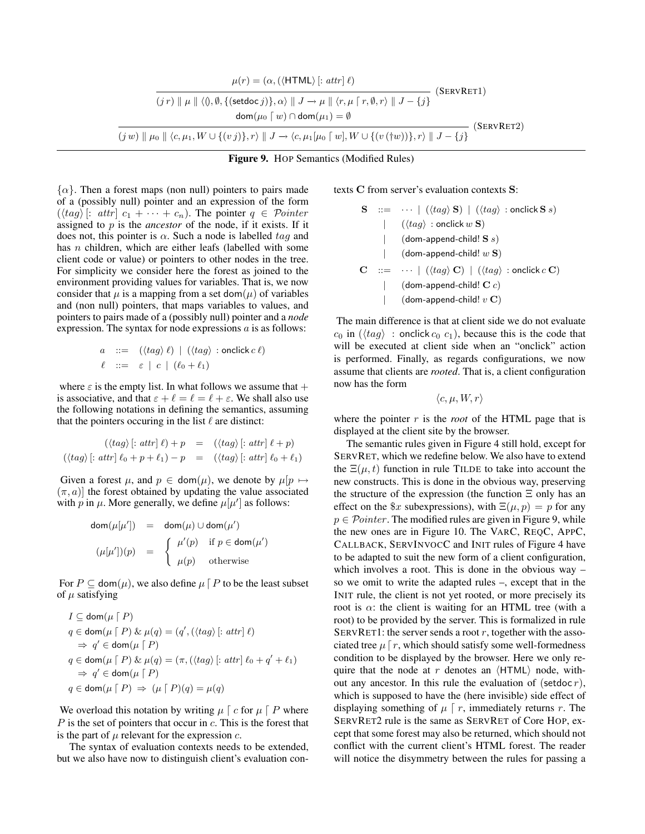| $\mu(r) = (\alpha, (\langle \text{HTML} \rangle) : \text{attr}   \ell)$                                                                                                                                     | (SERVRET1) |
|-------------------------------------------------------------------------------------------------------------------------------------------------------------------------------------------------------------|------------|
| $(jr) \parallel \mu \parallel \langle 0, \emptyset, \{(\text{setdoc } j)\}, \alpha \rangle \parallel J \rightarrow \mu \parallel \langle r, \mu \lceil r, \emptyset, r \rangle \parallel J - \{j\}$         |            |
| $dom(\mu_0 \mid w) \cap dom(\mu_1) = \emptyset$                                                                                                                                                             | (SERVRET2) |
| $(j w) \parallel \mu_0 \parallel \langle c, \mu_1, W \cup \{(v j)\}, r \rangle \parallel J \rightarrow \langle c, \mu_1   \mu_0 \mid w \rangle, W \cup \{(v ( \dagger w))\}, r \rangle \parallel J - \{j\}$ |            |

Figure 9. HOP Semantics (Modified Rules)

 $\{\alpha\}$ . Then a forest maps (non null) pointers to pairs made of a (possibly null) pointer and an expression of the form  $(\langle tag \rangle [: \text{attr}] \ c_1 + \cdots + c_n).$  The pointer  $q \in \text{Pointer}$ assigned to p is the *ancestor* of the node, if it exists. If it does not, this pointer is  $\alpha$ . Such a node is labelled  $taq$  and has *n* children, which are either leafs (labelled with some client code or value) or pointers to other nodes in the tree. For simplicity we consider here the forest as joined to the environment providing values for variables. That is, we now consider that  $\mu$  is a mapping from a set dom( $\mu$ ) of variables and (non null) pointers, that maps variables to values, and pointers to pairs made of a (possibly null) pointer and a *node* expression. The syntax for node expressions  $a$  is as follows:

$$
a ::= (\langle tag \rangle \ell) | (\langle tag \rangle : \text{onclick } c \ell)
$$
  

$$
\ell ::= \varepsilon | c | (\ell_0 + \ell_1)
$$

where  $\varepsilon$  is the empty list. In what follows we assume that  $+$ is associative, and that  $\varepsilon + \ell = \ell = \ell + \varepsilon$ . We shall also use the following notations in defining the semantics, assuming that the pointers occuring in the list  $\ell$  are distinct:

$$
(\langle tag \rangle [: \textit{attr}] \ell) + p = (\langle tag \rangle [: \textit{attr}] \ell + p)
$$
  

$$
(\langle tag \rangle [: \textit{attr}] \ell_0 + p + \ell_1) - p = (\langle tag \rangle [: \textit{attr}] \ell_0 + \ell_1)
$$

Given a forest  $\mu$ , and  $p \in \text{dom}(\mu)$ , we denote by  $\mu[p \mapsto \text{dom}(\mu)]$  $(\pi, a)$  the forest obtained by updating the value associated with  $p$  in  $\mu$ . More generally, we define  $\mu[\mu']$  as follows:

$$
dom(\mu[\mu']) = dom(\mu) \cup dom(\mu')
$$
  

$$
(\mu[\mu'])(p) = \begin{cases} \mu'(p) & \text{if } p \in dom(\mu') \\ \mu(p) & \text{otherwise} \end{cases}
$$

For  $P \subseteq \text{dom}(\mu)$ , we also define  $\mu \upharpoonright P$  to be the least subset of  $\mu$  satisfying

$$
I \subseteq \text{dom}(\mu \mid P)
$$
  
\n
$$
q \in \text{dom}(\mu \mid P) \& \mu(q) = (q', (\langle tag \rangle [: attr] \ell)
$$
  
\n
$$
\Rightarrow q' \in \text{dom}(\mu \mid P)
$$
  
\n
$$
q \in \text{dom}(\mu \mid P) \& \mu(q) = (\pi, (\langle tag \rangle [: attr] \ell_0 + q' + \ell_1)
$$
  
\n
$$
\Rightarrow q' \in \text{dom}(\mu \mid P)
$$
  
\n
$$
q \in \text{dom}(\mu \mid P) \Rightarrow (\mu \mid P)(q) = \mu(q)
$$

We overload this notation by writing  $\mu \int c$  for  $\mu \int P$  where  $P$  is the set of pointers that occur in  $c$ . This is the forest that is the part of  $\mu$  relevant for the expression  $c$ .

The syntax of evaluation contexts needs to be extended, but we also have now to distinguish client's evaluation contexts C from server's evaluation contexts S:

S ::= · · · | (htagi S) | (htagi : onclick S s) | (htagi : onclick w S) | (dom-append-child! S s) | (dom-append-child! w S) C ::= · · · | (htagi C) | (htagi : onclick c C) | (dom-append-child! C c) | (dom-append-child! v C)

The main difference is that at client side we do not evaluate  $c_0$  in  $(\langle tag \rangle : \text{onclick } c_0 \ c_1),$  because this is the code that will be executed at client side when an "onclick" action is performed. Finally, as regards configurations, we now assume that clients are *rooted*. That is, a client configuration now has the form

$$
\langle c, \mu, W, r \rangle
$$

where the pointer r is the *root* of the HTML page that is displayed at the client site by the browser.

The semantic rules given in Figure 4 still hold, except for SERVRET, which we redefine below. We also have to extend the  $\Xi(\mu, t)$  function in rule TILDE to take into account the new constructs. This is done in the obvious way, preserving the structure of the expression (the function  $\Xi$  only has an effect on the  $x$  subexpressions), with  $\Xi(\mu, p) = p$  for any  $p \in *Pointer*$ . The modified rules are given in Figure 9, while the new ones are in Figure 10. The VARC, REQC, APPC, CALLBACK, SERVINVOCC and INIT rules of Figure 4 have to be adapted to suit the new form of a client configuration, which involves a root. This is done in the obvious way – so we omit to write the adapted rules –, except that in the INIT rule, the client is not yet rooted, or more precisely its root is  $\alpha$ : the client is waiting for an HTML tree (with a root) to be provided by the server. This is formalized in rule SERVRET1: the server sends a root  $r$ , together with the associated tree  $\mu \lceil r$ , which should satisfy some well-formedness condition to be displayed by the browser. Here we only require that the node at r denotes an  $\langle HTML \rangle$  node, without any ancestor. In this rule the evaluation of (setdoc  $r$ ), which is supposed to have the (here invisible) side effect of displaying something of  $\mu \mid r$ , immediately returns r. The SERVRET2 rule is the same as SERVRET of Core HOP, except that some forest may also be returned, which should not conflict with the current client's HTML forest. The reader will notice the disymmetry between the rules for passing a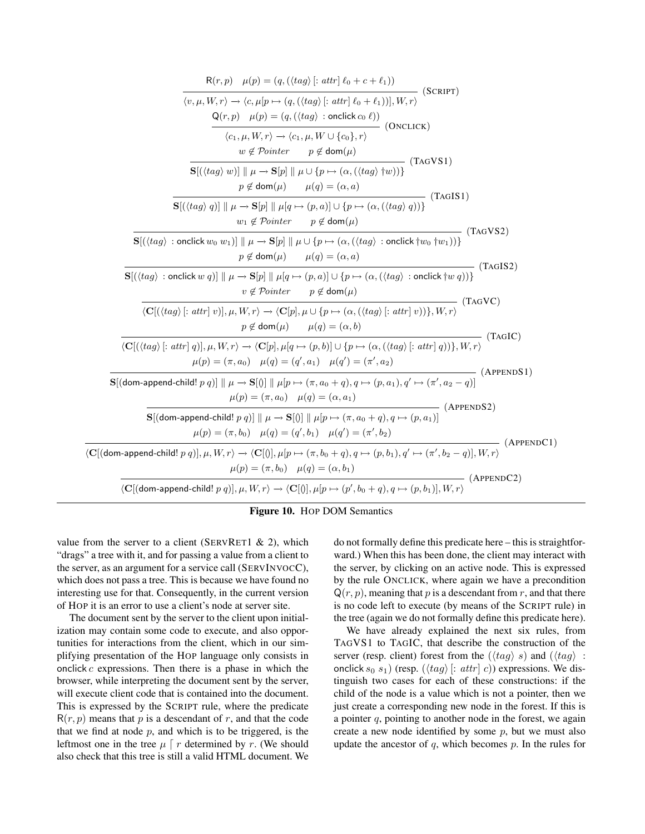| $R(r, p)$ $\mu(p) = (q, (\langle tag \rangle) [: attr] \ell_0 + c + \ell_1))$<br>$-$ (SCRIPT)                                                                                                                                                                                                          |
|--------------------------------------------------------------------------------------------------------------------------------------------------------------------------------------------------------------------------------------------------------------------------------------------------------|
| $\langle v, \mu, W, r \rangle \rightarrow \langle c, \mu[p \mapsto (q, (\langle tag \rangle) [: attr] \ell_0 + \ell_1)]  , W, r \rangle$<br>$Q(r, p)$ $\mu(p) = (q, (\langle tag \rangle : \text{onclick } c_0 \ell))$<br>- (Onclick)                                                                  |
| $\langle c_1, \mu, W, r \rangle \rightarrow \langle c_1, \mu, W \cup \{c_0\}, r \rangle$<br>$w \notin \mathcal{P}ointer \qquad p \notin \text{dom}(\mu)$<br>(TAGVS1)                                                                                                                                   |
| $\mathbf{S}[(\langle tag \rangle w)] \parallel \mu \rightarrow \mathbf{S}[p] \parallel \mu \cup \{p \mapsto (\alpha, (\langle tag \rangle \dagger w))\}$<br>$p \notin \text{dom}(\mu)$ $\mu(q) = (\alpha, a)$<br>(TAGIS1)                                                                              |
| $\mathbf{S}[(\langle tag \rangle q)] \parallel \mu \rightarrow \mathbf{S}[p] \parallel \mu[q \mapsto (p,a)] \cup \{p \mapsto (\alpha, (\langle tag \rangle q))\}$<br>$w_1 \notin \mathcal{P}ointer \qquad p \notin \text{dom}(\mu)$<br>(TAGVS2)                                                        |
| $\mathbf{S}[(\langle tag \rangle : \mathsf{onclick}\,w_0\,w_1)] \parallel \mu \to \mathbf{S}[p] \parallel \mu \cup \{p \mapsto (\alpha, (\langle tag \rangle : \mathsf{onclick}\, \dagger w_0\, \dagger w_1))\}$<br>$p \notin \text{dom}(\mu)$ $\mu(q) = (\alpha, a)$<br>(TAGIS2)                      |
| $\mathbf{S}[(\langle tag \rangle : \text{onclick } w q)] \parallel \mu \rightarrow \mathbf{S}[p] \parallel \mu[q \mapsto (p, a)] \cup \{p \mapsto (\alpha, (\langle tag \rangle : \text{onclick } \dagger w q))\}$<br>$v \notin \mathcal{P}ointer$ $p \notin \text{dom}(\mu)$<br>(TAGVC)               |
| $\langle \mathbf{C}[(\langle tag \rangle [: \textit{attr}] \ v)], \mu, W, r \rangle \rightarrow \langle \mathbf{C}[p], \mu \cup \{p \mapsto (\alpha, (\langle tag \rangle [: \textit{attr}] \ v))\}, W, r \rangle$<br>$p \notin \text{dom}(\mu)$ $\mu(q) = (\alpha, b)$<br>(TAGIC)                     |
| $\langle \mathbf{C}[(\langle tag \rangle  : attr   q)], \mu, W, r \rangle \rightarrow \langle \mathbf{C}[p], \mu[q \mapsto (p, b)] \cup \{p \mapsto (\alpha, (\langle tag \rangle  : attr   q))\}, W, r \rangle$<br>$\mu(p) = (\pi, a_0)$ $\mu(q) = (q', a_1)$ $\mu(q') = (\pi', a_2)$<br>(APPENDS1)   |
| $\mathbf{S}[(\mathsf{dom}\textrm{-append}\textrm{-child}!~p~q)]\parallel\mu\rightarrow\mathbf{S}[0]\parallel\mu[p\mapsto(\pi,a_0+q),q\mapsto(p,a_1),q'\mapsto(\pi',a_2-q)]$<br>$\mu(p) = (\pi, a_0)$ $\mu(q) = (\alpha, a_1)$<br>- (APPENDS2)                                                          |
| $\mathbf{S}[(\text{dom-append-child! } p \ q)] \parallel \mu \rightarrow \mathbf{S}[0] \parallel \mu[p \mapsto (\pi, a_0 + q), q \mapsto (p, a_1)]$<br>$\mu(p) = (\pi, b_0)$ $\mu(q) = (q', b_1)$ $\mu(q') = (\pi', b_2)$<br>$-$ (AppendC1)                                                            |
| $\langle \mathbf{C}[(\mathsf{dom}\text{-}\mathsf{append}\text{-}\mathsf{child}!~p~q)], \mu, W, r\rangle \rightarrow \langle \mathbf{C}[0], \mu[p \mapsto (\pi, b_0 + q), q \mapsto (p, b_1), q' \mapsto (\pi', b_2 - q)], W, r\rangle$<br>$\mu(p) = (\pi, b_0)$ $\mu(q) = (\alpha, b_1)$<br>(APPENDC2) |
| $\langle \mathbf{C}[(\mathsf{dom}\text{-}\mathsf{append}\text{-}\mathsf{child}!~p~q)], \mu, W, r \rangle \rightarrow \langle \mathbf{C}[0], \mu[p \mapsto (p', b_0 + q), q \mapsto (p, b_1)], W, r \rangle$                                                                                            |



value from the server to a client (SERVRET1  $\&$  2), which "drags" a tree with it, and for passing a value from a client to the server, as an argument for a service call (SERVINVOCC), which does not pass a tree. This is because we have found no interesting use for that. Consequently, in the current version of HOP it is an error to use a client's node at server site.

The document sent by the server to the client upon initialization may contain some code to execute, and also opportunities for interactions from the client, which in our simplifying presentation of the HOP language only consists in onclick  $c$  expressions. Then there is a phase in which the browser, while interpreting the document sent by the server, will execute client code that is contained into the document. This is expressed by the SCRIPT rule, where the predicate  $R(r, p)$  means that p is a descendant of r, and that the code that we find at node  $p$ , and which is to be triggered, is the leftmost one in the tree  $\mu \int r$  determined by r. (We should also check that this tree is still a valid HTML document. We

do not formally define this predicate here – this is straightforward.) When this has been done, the client may interact with the server, by clicking on an active node. This is expressed by the rule ONCLICK, where again we have a precondition  $Q(r, p)$ , meaning that p is a descendant from r, and that there is no code left to execute (by means of the SCRIPT rule) in the tree (again we do not formally define this predicate here).

We have already explained the next six rules, from TAGVS1 to TAGIC, that describe the construction of the server (resp. client) forest from the  $(\langle tag \rangle s)$  and  $(\langle tag \rangle :$ onclick  $s_0$   $s_1$ ) (resp.  $(\langle tag \rangle [: attr] c)$ ) expressions. We distinguish two cases for each of these constructions: if the child of the node is a value which is not a pointer, then we just create a corresponding new node in the forest. If this is a pointer  $q$ , pointing to another node in the forest, we again create a new node identified by some  $p$ , but we must also update the ancestor of  $q$ , which becomes  $p$ . In the rules for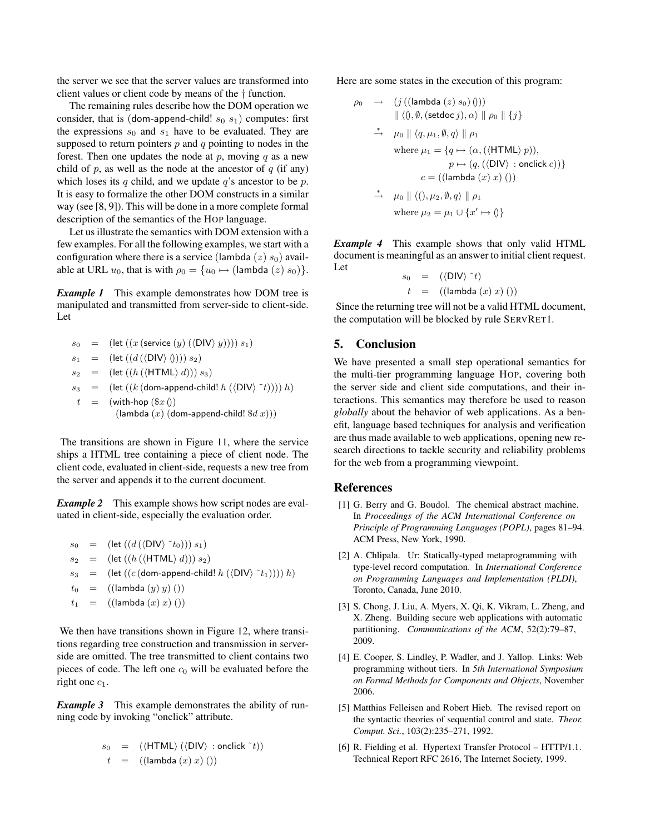the server we see that the server values are transformed into client values or client code by means of the † function.

The remaining rules describe how the DOM operation we consider, that is (dom-append-child!  $s_0$   $s_1$ ) computes: first the expressions  $s_0$  and  $s_1$  have to be evaluated. They are supposed to return pointers  $p$  and  $q$  pointing to nodes in the forest. Then one updates the node at p, moving q as a new child of  $p$ , as well as the node at the ancestor of  $q$  (if any) which loses its q child, and we update  $q$ 's ancestor to be  $p$ . It is easy to formalize the other DOM constructs in a similar way (see [8, 9]). This will be done in a more complete formal description of the semantics of the HOP language.

Let us illustrate the semantics with DOM extension with a few examples. For all the following examples, we start with a configuration where there is a service (lambda  $(z)$  s<sub>0</sub>) available at URL  $u_0$ , that is with  $\rho_0 = \{u_0 \mapsto$  (lambda  $(z)$   $s_0)\}.$ 

*Example 1* This example demonstrates how DOM tree is manipulated and transmitted from server-side to client-side. Let

$$
s_0 = (\text{let } ((x \text{ (service } (y) (\langle \text{DIV} \rangle y)))) s_1)
$$
  
\n
$$
s_1 = (\text{let } ((d (\langle \text{DIV} \rangle 0))) s_2)
$$
  
\n
$$
s_2 = (\text{let } ((h (\langle \text{HTML} \rangle d))) s_3)
$$
  
\n
$$
s_3 = (\text{let } ((k (\text{dom-append-child! } h (\langle \text{DIV} \rangle \sim t)))) h)
$$
  
\n
$$
t = (\text{with-hop } (\$x \space 0)
$$
  
\n
$$
(\text{lambda } (x) (\text{dom-append-child! } \$d \space x)))
$$

The transitions are shown in Figure 11, where the service ships a HTML tree containing a piece of client node. The client code, evaluated in client-side, requests a new tree from the server and appends it to the current document.

*Example 2* This example shows how script nodes are evaluated in client-side, especially the evaluation order.

$$
s_0 = (\text{let } ((d (\langle \text{DIV} \rangle ^* t_0))) s_1)
$$
  
\n
$$
s_2 = (\text{let } ((h (\langle \text{HTML} \rangle d))) s_2)
$$
  
\n
$$
s_3 = (\text{let } ((c (\text{dom-append-child! } h (\langle \text{DIV} \rangle ^* t_1)))) h)
$$
  
\n
$$
t_0 = ((\text{lambda } (y) y)())
$$
  
\n
$$
t_1 = ((\text{lambda } (x) x)())
$$

We then have transitions shown in Figure 12, where transitions regarding tree construction and transmission in serverside are omitted. The tree transmitted to client contains two pieces of code. The left one  $c_0$  will be evaluated before the right one  $c_1$ .

**Example 3** This example demonstrates the ability of running code by invoking "onclick" attribute.

$$
s_0 = (\langle \text{HTML} \rangle (\langle \text{DIV} \rangle : \text{onclick}^t))
$$
  

$$
t = ((\text{lambda } (x) x) () )
$$

Here are some states in the execution of this program:

$$
\rho_0 \rightarrow (j ((\text{lambda} (z) s_0) )))
$$
  
\n
$$
\parallel \langle 0, \emptyset, (\text{setdoc } j), \alpha \rangle \parallel \rho_0 \parallel \{j\}
$$
  
\n
$$
\rightarrow \mu_0 \parallel \langle q, \mu_1, \emptyset, q \rangle \parallel \rho_1
$$
  
\nwhere  $\mu_1 = \{q \mapsto (\alpha, (\langle \text{HTML} \rangle p)),$   
\n $p \mapsto (q, (\langle \text{DIV} \rangle : \text{onclick } c)) \}$   
\n $c = ((\text{lambda} (x) x) () )$   
\n
$$
\rightarrow \mu_0 \parallel \langle 0, \mu_2, \emptyset, q \rangle \parallel \rho_1
$$
  
\nwhere  $\mu_2 = \mu_1 \cup \{x' \mapsto 0\}$ 

*Example 4* This example shows that only valid HTML document is meaningful as an answer to initial client request. Let

$$
s_0 = (\langle \text{DIV} \rangle^t)
$$
  

$$
t = ((\text{lambda } (x) x) () )
$$

Since the returning tree will not be a valid HTML document, the computation will be blocked by rule SERVRET1.

## 5. Conclusion

We have presented a small step operational semantics for the multi-tier programming language HOP, covering both the server side and client side computations, and their interactions. This semantics may therefore be used to reason *globally* about the behavior of web applications. As a benefit, language based techniques for analysis and verification are thus made available to web applications, opening new research directions to tackle security and reliability problems for the web from a programming viewpoint.

### References

- [1] G. Berry and G. Boudol. The chemical abstract machine. In *Proceedings of the ACM International Conference on Principle of Programming Languages (POPL)*, pages 81–94. ACM Press, New York, 1990.
- [2] A. Chlipala. Ur: Statically-typed metaprogramming with type-level record computation. In *International Conference on Programming Languages and Implementation (PLDI)*, Toronto, Canada, June 2010.
- [3] S. Chong, J. Liu, A. Myers, X. Qi, K. Vikram, L. Zheng, and X. Zheng. Building secure web applications with automatic partitioning. *Communications of the ACM*, 52(2):79–87, 2009.
- [4] E. Cooper, S. Lindley, P. Wadler, and J. Yallop. Links: Web programming without tiers. In *5th International Symposium on Formal Methods for Components and Objects*, November 2006.
- [5] Matthias Felleisen and Robert Hieb. The revised report on the syntactic theories of sequential control and state. *Theor. Comput. Sci.*, 103(2):235–271, 1992.
- [6] R. Fielding et al. Hypertext Transfer Protocol HTTP/1.1. Technical Report RFC 2616, The Internet Society, 1999.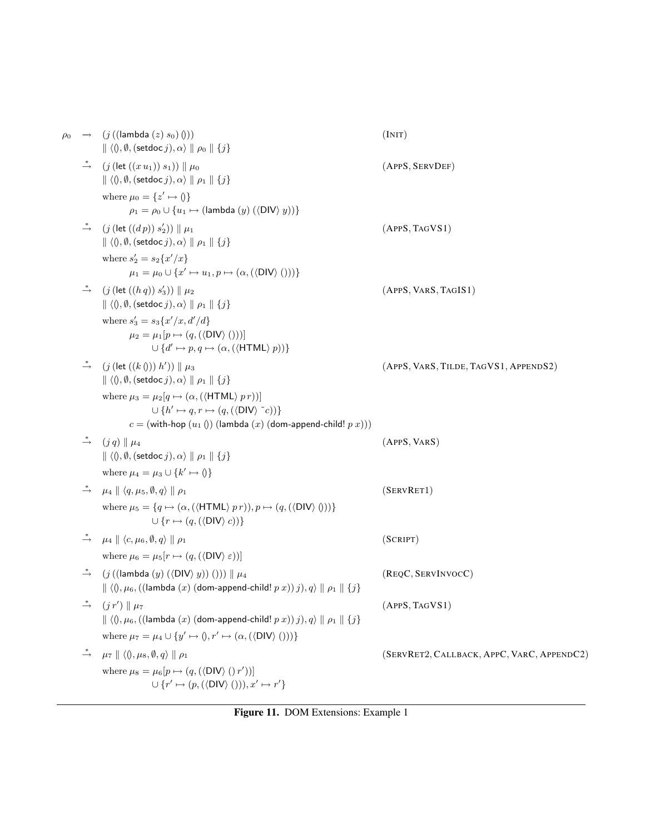| $\rho_0$ | $\rightarrow$ $(j$ ((lambda $(z)$ $s_0$ ) ()))<br>$\  \langle 0, \emptyset, (\mathsf{setdoc}\, j), \alpha \rangle \  \rho_0 \  \{j\}$                                                                                                             | (INT)                                      |
|----------|---------------------------------------------------------------------------------------------------------------------------------------------------------------------------------------------------------------------------------------------------|--------------------------------------------|
|          | $\stackrel{*}{\rightarrow}$ $(j$ (let $((x u_1)) s_1)$ ) $\parallel \mu_0$<br>$\  \langle 0, \emptyset, (\mathsf{setdoc}\, j), \alpha \rangle \  \rho_1 \  \{j\}$                                                                                 | (APPS, SERVDEF)                            |
|          | where $\mu_0 = \{z' \mapsto \emptyset\}$<br>$\rho_1 = \rho_0 \cup \{u_1 \mapsto (\text{lambda } (y) (\langle \text{DIV} \rangle y))\}$                                                                                                            |                                            |
|          | $\stackrel{*}{\rightarrow}$ $(j$ (let $((dp)) s'_2$ )) $\parallel \mu_1$<br>$\  \langle 0, \emptyset, (\mathsf{setdoc}\, j), \alpha \rangle \  \rho_1 \  \{j\}$                                                                                   | (APPS, TAGVS1)                             |
|          | where $s'_2 = s_2\{x'/x\}$<br>$\mu_1 = \mu_0 \cup \{x' \mapsto u_1, p \mapsto (\alpha, (\langle \text{DIV} \rangle))\}\$                                                                                                                          |                                            |
|          | $\stackrel{*}{\rightarrow}$ $(j$ (let $((h q)) s'_3$ )) $\parallel \mu_2$<br>$\  \langle 0, \emptyset, (\mathsf{setdoc}\, j), \alpha \rangle \  \rho_1 \  \{j\}$                                                                                  | (APPS, VARS, TAGIS1)                       |
|          | where $s'_3 = s_3\{x'/x, d'/d\}$<br>$\mu_2 = \mu_1[p \mapsto (q, (\langle \text{DIV} \rangle()))]$<br>$\cup \{d' \mapsto p, q \mapsto (\alpha, (\langle \text{HTML} \rangle p))\}$                                                                |                                            |
|          | $\stackrel{*}{\rightarrow}$ $(j$ (let $((k0)) h')$ ) $\parallel \mu_3$<br>$\  \langle 0, \emptyset, (\mathsf{setdoc}\, j), \alpha \rangle \  \rho_1 \  \{j\}$                                                                                     | (APPS, VARS, TILDE, TAGVS1, APPENDS2)      |
|          | where $\mu_3 = \mu_2[q \mapsto (\alpha, (\langle \text{HTML} \rangle p r))]$<br>$\cup \{h' \mapsto q, r \mapsto (q, (\langle \text{DIV} \rangle \,\,\tilde{\,\, c}))\}$<br>$c = ($ with-hop $(u_1$ ()) (lambda $(x)$ (dom-append-child! $p(x)$ )) |                                            |
|          | $\stackrel{*}{\rightarrow}$ $(j q)    \mu_4$<br>$\  \langle 0, \emptyset, (\mathsf{setdoc}\, j), \alpha \rangle \  \rho_1 \  \{j\}$                                                                                                               | (APPS, VARS)                               |
|          | where $\mu_4 = \mu_3 \cup \{k' \mapsto 0\}$                                                                                                                                                                                                       |                                            |
|          | $\stackrel{*}{\rightarrow}$ $\mu_4 \parallel \langle q, \mu_5, \emptyset, q \rangle \parallel \rho_1$                                                                                                                                             | (SERVRET1)                                 |
|          | where $\mu_5 = \{q \mapsto (\alpha, (\langle \text{HTML} \rangle p r)), p \mapsto (q, (\langle \text{DIV} \rangle 0))\}$<br>$\cup \{r \mapsto (q, (\langle \text{DIV} \rangle c))\}$                                                              |                                            |
|          | $\stackrel{*}{\rightarrow}$ $\mu_4 \parallel \langle c, \mu_6, \emptyset, q \rangle \parallel \rho_1$<br>where $\mu_6 = \mu_5[r \mapsto (q, (\langle \text{DIV} \rangle \varepsilon))]$                                                           | (SCRIPT)                                   |
|          | $\stackrel{*}{\rightarrow}$ (j((lambda (y)( $\langle$ DIV $\rangle$ y))())) $\parallel \mu_4$<br>$\  \langle 0, \mu_6, ((\text{lambda } (x) (\text{dom-append-child! } p x)) j), q \rangle \  \rho_1 \  \{j\}$                                    | (REQC, SERVINVOCC)                         |
|          | $(j r') \parallel \mu_7$<br>$\Vert \langle 0, \mu_6, ((\mathsf{lambda} (x) (\mathsf{dom}\text{-}\mathsf{append}\text{-}\mathsf{child}! p x)) j), q \rangle \Vert \rho_1 \Vert \{j\}$                                                              | (APPS, TAGVS1)                             |
|          | where $\mu_7 = \mu_4 \cup \{y' \mapsto (0, r' \mapsto (\alpha, (\langle \text{DIV} \rangle ()))\}$                                                                                                                                                |                                            |
|          | $\stackrel{*}{\rightarrow}$ $\mu_7 \parallel \langle 0, \mu_8, \emptyset, q \rangle \parallel \rho_1$                                                                                                                                             | (SERVRET2, CALLBACK, APPC, VARC, APPENDC2) |
|          | where $\mu_8 = \mu_6[p \mapsto (q, (\langle \text{DIV} \rangle (r'))]$<br>$\cup$ { $r' \mapsto (p, (\langle \text{DIV} \rangle)()), x' \mapsto r'$ }                                                                                              |                                            |

Figure 11. DOM Extensions: Example 1